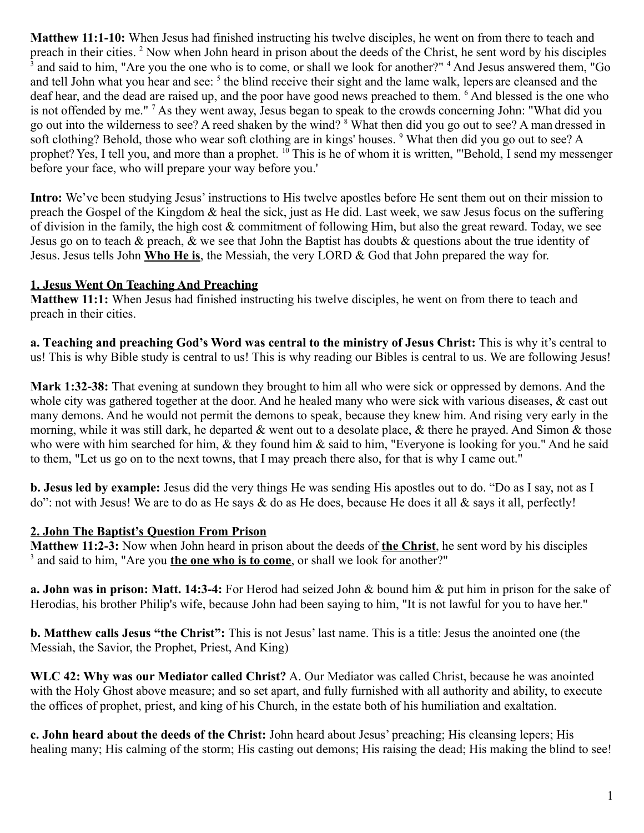**Matthew 11:1-10:** When Jesus had finished instructing his twelve disciples, he went on from there to teach and preach in their cities. <sup>2</sup> Now when John heard in prison about the deeds of the Christ, he sent word by his disciples 3 and said to him, "Are you the one who is to come, or shall we look for another?" <sup>4</sup> And Jesus answered them, "Go and tell John what you hear and see: <sup>5</sup> the blind receive their sight and the lame walk, lepers are cleansed and the deaf hear, and the dead are raised up, and the poor have good news preached to them. <sup>6</sup> And blessed is the one who is not offended by me."<sup>7</sup> As they went away, Jesus began to speak to the crowds concerning John: "What did you go out into the wilderness to see? A reed shaken by the wind? <sup>8</sup> What then did you go out to see? A man dressed in soft clothing? Behold, those who wear soft clothing are in kings' houses. <sup>9</sup> What then did you go out to see? A prophet? Yes, I tell you, and more than a prophet. <sup>10</sup> This is he of whom it is written, "'Behold, I send my messenger before your face, who will prepare your way before you.'

**Intro:** We've been studying Jesus' instructions to His twelve apostles before He sent them out on their mission to preach the Gospel of the Kingdom & heal the sick, just as He did. Last week, we saw Jesus focus on the suffering of division in the family, the high cost & commitment of following Him, but also the great reward. Today, we see Jesus go on to teach & preach, & we see that John the Baptist has doubts & questions about the true identity of Jesus. Jesus tells John **Who He is**, the Messiah, the very LORD & God that John prepared the way for.

### **1. Jesus Went On Teaching And Preaching**

**Matthew 11:1:** When Jesus had finished instructing his twelve disciples, he went on from there to teach and preach in their cities.

**a. Teaching and preaching God's Word was central to the ministry of Jesus Christ:** This is why it's central to us! This is why Bible study is central to us! This is why reading our Bibles is central to us. We are following Jesus!

**Mark 1:32-38:** That evening at sundown they brought to him all who were sick or oppressed by demons. And the whole city was gathered together at the door. And he healed many who were sick with various diseases, & cast out many demons. And he would not permit the demons to speak, because they knew him. And rising very early in the morning, while it was still dark, he departed & went out to a desolate place, & there he prayed. And Simon & those who were with him searched for him, & they found him & said to him, "Everyone is looking for you." And he said to them, "Let us go on to the next towns, that I may preach there also, for that is why I came out."

**b. Jesus led by example:** Jesus did the very things He was sending His apostles out to do. "Do as I say, not as I do": not with Jesus! We are to do as He says & do as He does, because He does it all & says it all, perfectly!

### **2. John The Baptist's Question From Prison**

**Matthew 11:2-3:** Now when John heard in prison about the deeds of **the Christ**, he sent word by his disciples <sup>3</sup> and said to him, "Are you **the one who is to come**, or shall we look for another?"

**a. John was in prison: Matt. 14:3-4:** For Herod had seized John & bound him & put him in prison for the sake of Herodias, his brother Philip's wife, because John had been saying to him, "It is not lawful for you to have her."

**b. Matthew calls Jesus "the Christ":** This is not Jesus' last name. This is a title: Jesus the anointed one (the Messiah, the Savior, the Prophet, Priest, And King)

**WLC 42: Why was our Mediator called Christ?** A. Our Mediator was called Christ, because he was anointed with the Holy Ghost above measure; and so set apart, and fully furnished with all authority and ability, to execute the offices of prophet, priest, and king of his Church, in the estate both of his humiliation and exaltation.

**c. John heard about the deeds of the Christ:** John heard about Jesus' preaching; His cleansing lepers; His healing many; His calming of the storm; His casting out demons; His raising the dead; His making the blind to see!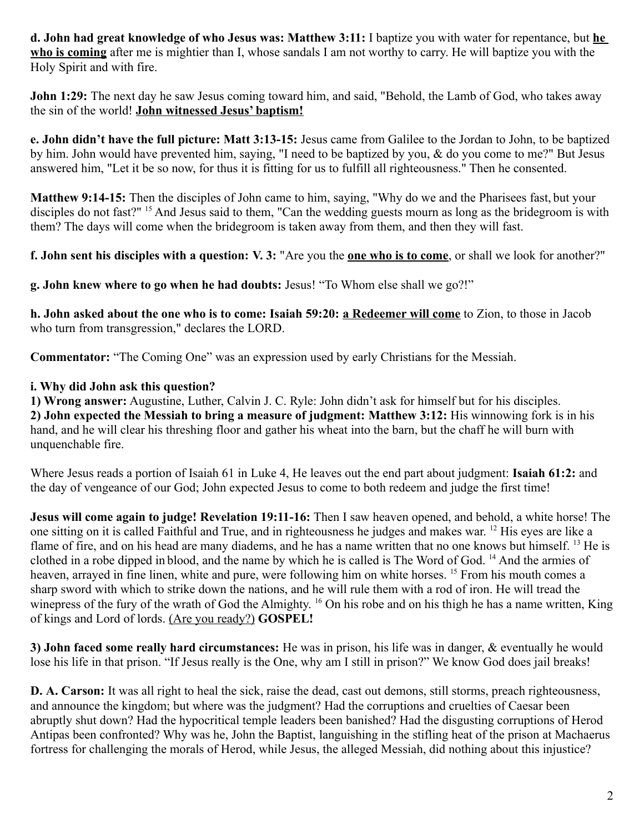**d. John had great knowledge of who Jesus was: Matthew 3:11:** I baptize you with water for repentance, but **he who is coming** after me is mightier than I, whose sandals I am not worthy to carry. He will baptize you with the Holy Spirit and with fire.

**John 1:29:** The next day he saw Jesus coming toward him, and said, "Behold, the Lamb of God, who takes away the sin of the world! **John witnessed Jesus' baptism!**

**e. John didn't have the full picture: Matt 3:13-15:** Jesus came from Galilee to the Jordan to John, to be baptized by him. John would have prevented him, saying, "I need to be baptized by you, & do you come to me?" But Jesus answered him, "Let it be so now, for thus it is fitting for us to fulfill all righteousness." Then he consented.

**Matthew 9:14-15:** Then the disciples of John came to him, saying, "Why do we and the Pharisees fast, but your disciples do not fast?"<sup>15</sup> And Jesus said to them, "Can the wedding guests mourn as long as the bridegroom is with them? The days will come when the bridegroom is taken away from them, and then they will fast.

**f. John sent his disciples with a question: V. 3:** "Are you the **one who is to come**, or shall we look for another?"

**g. John knew where to go when he had doubts:** Jesus! "To Whom else shall we go?!"

**h. John asked about the one who is to come: Isaiah 59:20: a Redeemer will come** to Zion, to those in Jacob who turn from transgression," declares the LORD.

**Commentator:** "The Coming One" was an expression used by early Christians for the Messiah.

### **i. Why did John ask this question?**

**1) Wrong answer:** Augustine, Luther, Calvin J. C. Ryle: John didn't ask for himself but for his disciples. **2) John expected the Messiah to bring a measure of judgment: Matthew 3:12:** His winnowing fork is in his hand, and he will clear his threshing floor and gather his wheat into the barn, but the chaff he will burn with unquenchable fire.

Where Jesus reads a portion of Isaiah 61 in Luke 4, He leaves out the end part about judgment: **Isaiah 61:2:** and the day of vengeance of our God; John expected Jesus to come to both redeem and judge the first time!

**Jesus will come again to judge! Revelation 19:11-16:** Then I saw heaven opened, and behold, a white horse! The one sitting on it is called Faithful and True, and in righteousness he judges and makes war. <sup>12</sup> His eyes are like a flame of fire, and on his head are many diadems, and he has a name written that no one knows but himself. <sup>13</sup> He is clothed in a robe dipped in blood, and the name by which he is called is The Word of God. <sup>14</sup> And the armies of heaven, arrayed in fine linen, white and pure, were following him on white horses. <sup>15</sup> From his mouth comes a sharp sword with which to strike down the nations, and he will rule them with a rod of iron. He will tread the winepress of the fury of the wrath of God the Almighty. <sup>16</sup> On his robe and on his thigh he has a name written, King of kings and Lord of lords. (Are you ready?) **GOSPEL!**

**3) John faced some really hard circumstances:** He was in prison, his life was in danger, & eventually he would lose his life in that prison. "If Jesus really is the One, why am I still in prison?" We know God does jail breaks!

**D. A. Carson:** It was all right to heal the sick, raise the dead, cast out demons, still storms, preach righteousness, and announce the kingdom; but where was the judgment? Had the corruptions and cruelties of Caesar been abruptly shut down? Had the hypocritical temple leaders been banished? Had the disgusting corruptions of Herod Antipas been confronted? Why was he, John the Baptist, languishing in the stifling heat of the prison at Machaerus fortress for challenging the morals of Herod, while Jesus, the alleged Messiah, did nothing about this injustice?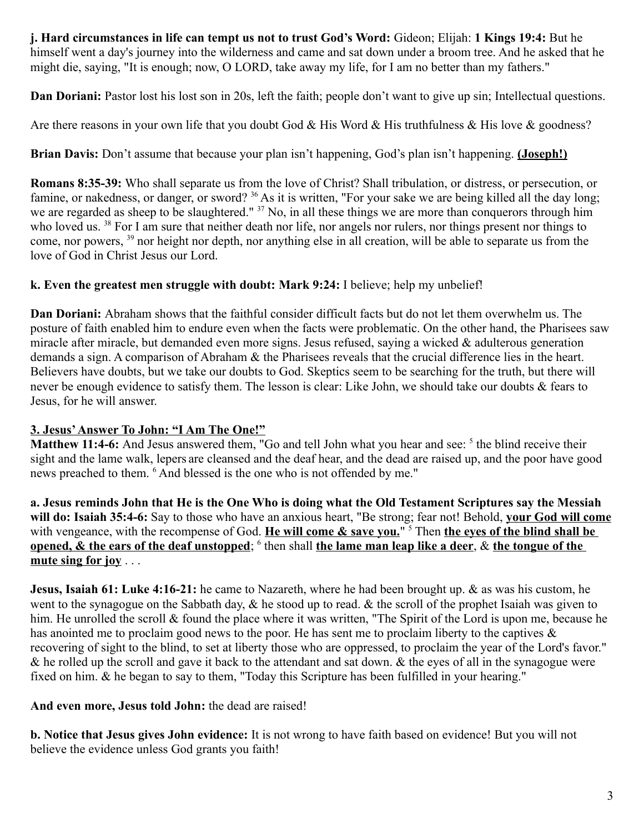**j. Hard circumstances in life can tempt us not to trust God's Word:** Gideon; Elijah: **1 Kings 19:4:** But he himself went a day's journey into the wilderness and came and sat down under a broom tree. And he asked that he might die, saying, "It is enough; now, O LORD, take away my life, for I am no better than my fathers."

**Dan Doriani:** Pastor lost his lost son in 20s, left the faith; people don't want to give up sin; Intellectual questions.

Are there reasons in your own life that you doubt God & His Word & His truthfulness & His love & goodness?

**Brian Davis:** Don't assume that because your plan isn't happening, God's plan isn't happening. **(Joseph!)**

**Romans 8:35-39:** Who shall separate us from the love of Christ? Shall tribulation, or distress, or persecution, or famine, or nakedness, or danger, or sword? <sup>36</sup> As it is written, "For your sake we are being killed all the day long; we are regarded as sheep to be slaughtered." <sup>37</sup> No, in all these things we are more than conquerors through him who loved us. <sup>38</sup> For I am sure that neither death nor life, nor angels nor rulers, nor things present nor things to come, nor powers, <sup>39</sup> nor height nor depth, nor anything else in all creation, will be able to separate us from the love of God in Christ Jesus our Lord.

# **k. Even the greatest men struggle with doubt: Mark 9:24:** I believe; help my unbelief!

**Dan Doriani:** Abraham shows that the faithful consider difficult facts but do not let them overwhelm us. The posture of faith enabled him to endure even when the facts were problematic. On the other hand, the Pharisees saw miracle after miracle, but demanded even more signs. Jesus refused, saying a wicked & adulterous generation demands a sign. A comparison of Abraham & the Pharisees reveals that the crucial difference lies in the heart. Believers have doubts, but we take our doubts to God. Skeptics seem to be searching for the truth, but there will never be enough evidence to satisfy them. The lesson is clear: Like John, we should take our doubts & fears to Jesus, for he will answer.

# **3. Jesus' Answer To John: "I Am The One!"**

Matthew 11:4-6: And Jesus answered them, "Go and tell John what you hear and see: <sup>5</sup> the blind receive their sight and the lame walk, lepers are cleansed and the deaf hear, and the dead are raised up, and the poor have good news preached to them. <sup>6</sup> And blessed is the one who is not offended by me."

**a. Jesus reminds John that He is the One Who is doing what the Old Testament Scriptures say the Messiah will do: Isaiah 35:4-6:** Say to those who have an anxious heart, "Be strong; fear not! Behold, **your God will come** with vengeance, with the recompense of God. He will come & save you." <sup>5</sup> Then the eyes of the blind shall be **<u>opened, & the ears of the deaf unstopped; <sup>6</sup> then shall the lame man leap like a deer, & the tongue of the </u> mute sing for joy** . . .

**Jesus, Isaiah 61: Luke 4:16-21:** he came to Nazareth, where he had been brought up. & as was his custom, he went to the synagogue on the Sabbath day,  $\&$  he stood up to read.  $\&$  the scroll of the prophet Isaiah was given to him. He unrolled the scroll & found the place where it was written, "The Spirit of the Lord is upon me, because he has anointed me to proclaim good news to the poor. He has sent me to proclaim liberty to the captives & recovering of sight to the blind, to set at liberty those who are oppressed, to proclaim the year of the Lord's favor."  $\&$  he rolled up the scroll and gave it back to the attendant and sat down.  $\&$  the eyes of all in the synagogue were fixed on him. & he began to say to them, "Today this Scripture has been fulfilled in your hearing."

# **And even more, Jesus told John:** the dead are raised!

**b. Notice that Jesus gives John evidence:** It is not wrong to have faith based on evidence! But you will not believe the evidence unless God grants you faith!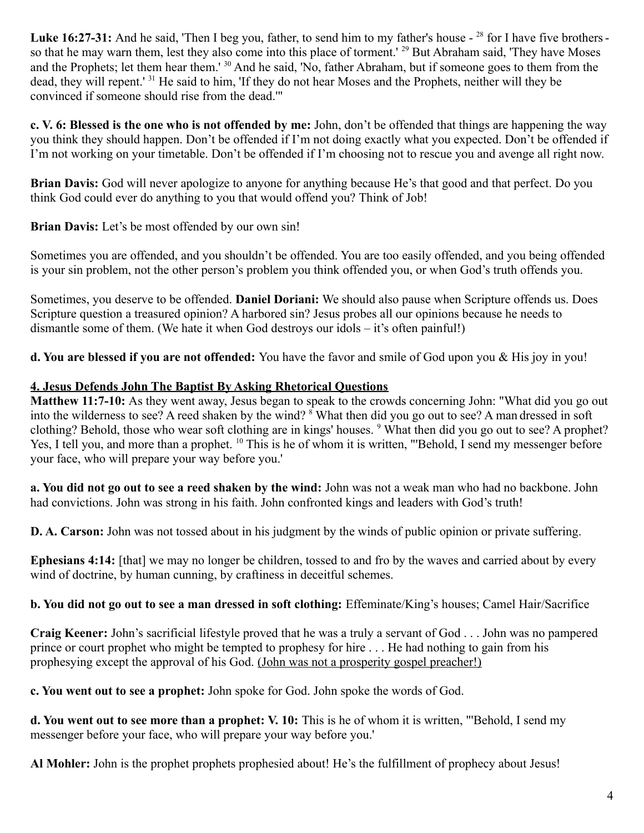Luke 16:27-31: And he said, 'Then I beg you, father, to send him to my father's house - <sup>28</sup> for I have five brothers so that he may warn them, lest they also come into this place of torment.' <sup>29</sup> But Abraham said, 'They have Moses and the Prophets; let them hear them.' <sup>30</sup> And he said, 'No, father Abraham, but if someone goes to them from the dead, they will repent.' <sup>31</sup> He said to him, 'If they do not hear Moses and the Prophets, neither will they be convinced if someone should rise from the dead.'"

**c. V. 6: Blessed is the one who is not offended by me:** John, don't be offended that things are happening the way you think they should happen. Don't be offended if I'm not doing exactly what you expected. Don't be offended if I'm not working on your timetable. Don't be offended if I'm choosing not to rescue you and avenge all right now.

**Brian Davis:** God will never apologize to anyone for anything because He's that good and that perfect. Do you think God could ever do anything to you that would offend you? Think of Job!

**Brian Davis:** Let's be most offended by our own sin!

Sometimes you are offended, and you shouldn't be offended. You are too easily offended, and you being offended is your sin problem, not the other person's problem you think offended you, or when God's truth offends you.

Sometimes, you deserve to be offended. **Daniel Doriani:** We should also pause when Scripture offends us. Does Scripture question a treasured opinion? A harbored sin? Jesus probes all our opinions because he needs to dismantle some of them. (We hate it when God destroys our idols – it's often painful!)

**d. You are blessed if you are not offended:** You have the favor and smile of God upon you & His joy in you!

# **4. Jesus Defends John The Baptist By Asking Rhetorical Questions**

**Matthew 11:7-10:** As they went away, Jesus began to speak to the crowds concerning John: "What did you go out into the wilderness to see? A reed shaken by the wind? <sup>8</sup> What then did you go out to see? A man dressed in soft clothing? Behold, those who wear soft clothing are in kings' houses. <sup>9</sup> What then did you go out to see? A prophet? Yes, I tell you, and more than a prophet. <sup>10</sup> This is he of whom it is written, "'Behold, I send my messenger before your face, who will prepare your way before you.'

**a. You did not go out to see a reed shaken by the wind:** John was not a weak man who had no backbone. John had convictions. John was strong in his faith. John confronted kings and leaders with God's truth!

**D. A. Carson:** John was not tossed about in his judgment by the winds of public opinion or private suffering.

**Ephesians 4:14:** [that] we may no longer be children, tossed to and fro by the waves and carried about by every wind of doctrine, by human cunning, by craftiness in deceitful schemes.

**b. You did not go out to see a man dressed in soft clothing:** Effeminate/King's houses; Camel Hair/Sacrifice

**Craig Keener:** John's sacrificial lifestyle proved that he was a truly a servant of God . . . John was no pampered prince or court prophet who might be tempted to prophesy for hire . . . He had nothing to gain from his prophesying except the approval of his God. (John was not a prosperity gospel preacher!)

**c. You went out to see a prophet:** John spoke for God. John spoke the words of God.

**d. You went out to see more than a prophet: V. 10:** This is he of whom it is written, "'Behold, I send my messenger before your face, who will prepare your way before you.'

**Al Mohler:** John is the prophet prophets prophesied about! He's the fulfillment of prophecy about Jesus!